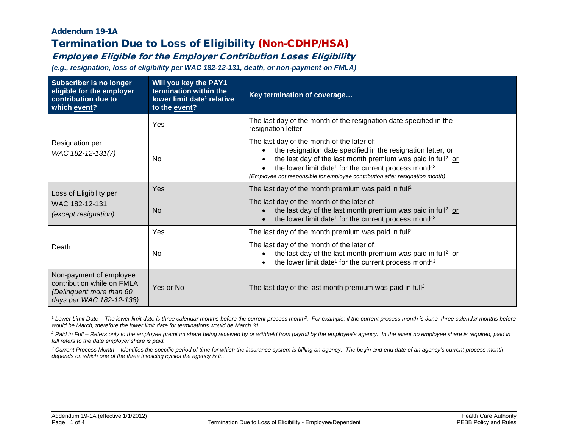### Addendum 19-1A Termination Due to Loss of Eligibility (Non-CDHP/HSA)

# Employee Eligible for the Employer Contribution Loses Eligibility

*(e.g., resignation, loss of eligibility per WAC 182-12-131, death, or non-payment on FMLA)*

| <b>Subscriber is no longer</b><br>eligible for the employer<br>contribution due to<br>which event?            | Will you key the PAY1<br>termination within the<br>lower limit date <sup>1</sup> relative<br>to the event? | Key termination of coverage                                                                                                                                                                                                                                                                                                                             |
|---------------------------------------------------------------------------------------------------------------|------------------------------------------------------------------------------------------------------------|---------------------------------------------------------------------------------------------------------------------------------------------------------------------------------------------------------------------------------------------------------------------------------------------------------------------------------------------------------|
|                                                                                                               | Yes                                                                                                        | The last day of the month of the resignation date specified in the<br>resignation letter                                                                                                                                                                                                                                                                |
| Resignation per<br>WAC 182-12-131(7)                                                                          | Nο                                                                                                         | The last day of the month of the later of:<br>the resignation date specified in the resignation letter, or<br>the last day of the last month premium was paid in full <sup>2</sup> , or<br>the lower limit date <sup>1</sup> for the current process month <sup>3</sup><br>(Employee not responsible for employee contribution after resignation month) |
| Loss of Eligibility per                                                                                       | Yes                                                                                                        | The last day of the month premium was paid in full <sup>2</sup>                                                                                                                                                                                                                                                                                         |
| WAC 182-12-131<br>(except resignation)                                                                        | <b>No</b>                                                                                                  | The last day of the month of the later of:<br>the last day of the last month premium was paid in full <sup>2</sup> , or<br>the lower limit date <sup>1</sup> for the current process month <sup>3</sup>                                                                                                                                                 |
|                                                                                                               | Yes                                                                                                        | The last day of the month premium was paid in full <sup>2</sup>                                                                                                                                                                                                                                                                                         |
| Death                                                                                                         | <b>No</b>                                                                                                  | The last day of the month of the later of:<br>the last day of the last month premium was paid in full <sup>2</sup> , or<br>the lower limit date <sup>1</sup> for the current process month <sup>3</sup>                                                                                                                                                 |
| Non-payment of employee<br>contribution while on FMLA<br>(Delinquent more than 60<br>days per WAC 182-12-138) | Yes or No                                                                                                  | The last day of the last month premium was paid in full <sup>2</sup>                                                                                                                                                                                                                                                                                    |

<sup>1</sup> Lower Limit Date – The lower limit date is three calendar months before the current process month<sup>3</sup>. For example: if the current process month is June, three calendar months before *would be March, therefore the lower limit date for terminations would be March 31.*

<sup>2</sup> Paid in Full – Refers only to the employee premium share being received by or withheld from payroll by the employee's agency. In the event no employee share is required, paid in *full refers to the date employer share is paid.*

*<sup>3</sup> Current Process Month – Identifies the specific period of time for which the insurance system is billing an agency. The begin and end date of an agency's current process month depends on which one of the three invoicing cycles the agency is in.*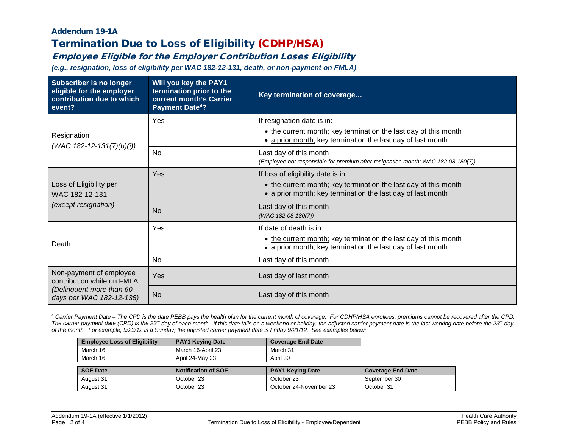### Addendum 19-1A Termination Due to Loss of Eligibility (CDHP/HSA)

## Employee Eligible for the Employer Contribution Loses Eligibility

*(e.g., resignation, loss of eligibility per WAC 182-12-131, death, or non-payment on FMLA)*

| <b>Subscriber is no longer</b><br>eligible for the employer<br>contribution due to which<br>event? | Will you key the PAY1<br>termination prior to the<br>current month's Carrier<br><b>Payment Date<sup>4</sup>?</b> | Key termination of coverage                                                                                 |
|----------------------------------------------------------------------------------------------------|------------------------------------------------------------------------------------------------------------------|-------------------------------------------------------------------------------------------------------------|
| Resignation                                                                                        | Yes                                                                                                              | If resignation date is in:<br>• the current month; key termination the last day of this month               |
| (WAC 182-12-131(7)(b)(i))                                                                          |                                                                                                                  | • a prior month; key termination the last day of last month                                                 |
|                                                                                                    | <b>No</b>                                                                                                        | Last day of this month<br>(Employee not responsible for premium after resignation month; WAC 182-08-180(7)) |
|                                                                                                    | Yes                                                                                                              | If loss of eligibility date is in:                                                                          |
| Loss of Eligibility per<br>WAC 182-12-131                                                          |                                                                                                                  | • the current month; key termination the last day of this month                                             |
|                                                                                                    |                                                                                                                  | • a prior month; key termination the last day of last month                                                 |
| (except resignation)                                                                               | <b>No</b>                                                                                                        | Last day of this month                                                                                      |
|                                                                                                    |                                                                                                                  | (WAC 182-08-180(7))                                                                                         |
|                                                                                                    | Yes                                                                                                              | If date of death is in:                                                                                     |
| Death                                                                                              |                                                                                                                  | • the current month; key termination the last day of this month                                             |
|                                                                                                    |                                                                                                                  | • a prior month; key termination the last day of last month                                                 |
|                                                                                                    | No                                                                                                               | Last day of this month                                                                                      |
| Non-payment of employee<br>contribution while on FMLA                                              | Yes                                                                                                              | Last day of last month                                                                                      |
| (Delinquent more than 60<br>days per WAC 182-12-138)                                               | <b>No</b>                                                                                                        | Last day of this month                                                                                      |

*<sup>4</sup> Carrier Payment Date – The CPD is the date PEBB pays the health plan for the current month of coverage. For CDHP/HSA enrollees, premiums cannot be recovered after the CPD.*  The carrier payment date (CPD) is the 23<sup>d</sup> day of each month. If this date falls on a weekend or holiday, the adjusted carrier payment date is the last working date before the 23<sup>d</sup> day *of the month. For example, 9/23/12 is a Sunday; the adjusted carrier payment date is Friday 9/21/12. See examples below:*

| <b>Employee Loss of Eligibility</b> | <b>PAY1 Keying Date</b>    | <b>Coverage End Date</b> |                          |
|-------------------------------------|----------------------------|--------------------------|--------------------------|
| March 16                            | March 16-April 23          | March 31                 |                          |
| March 16                            | April 24-May 23            | April 30                 |                          |
|                                     |                            |                          |                          |
|                                     |                            |                          |                          |
| <b>SOE Date</b>                     | <b>Notification of SOE</b> | <b>PAY1 Keying Date</b>  | <b>Coverage End Date</b> |
| August 31                           | October 23                 | October 23               | September 30             |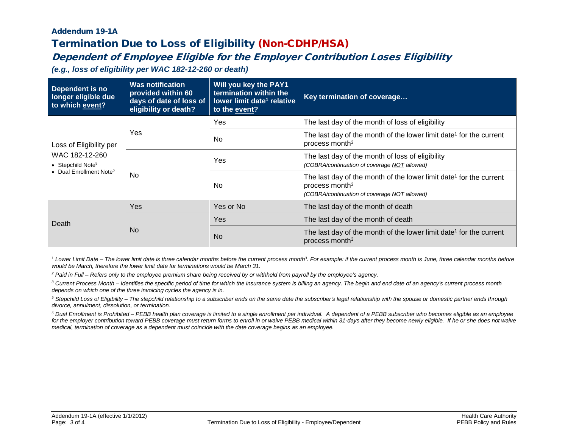### Addendum 19-1A Termination Due to Loss of Eligibility (Non-CDHP/HSA)

# Dependent of Employee Eligible for the Employer Contribution Loses Eligibility

*(e.g., loss of eligibility per WAC 182-12-260 or death)*

| Dependent is no<br>longer eligible due<br>to which event?                                                         | <b>Was notification</b><br>provided within 60<br>days of date of loss of<br>eligibility or death? | <b>Will you key the PAY1</b><br>termination within the<br>lower limit date <sup>1</sup> relative<br>to the event? | Key termination of coverage                                                                                                                                  |
|-------------------------------------------------------------------------------------------------------------------|---------------------------------------------------------------------------------------------------|-------------------------------------------------------------------------------------------------------------------|--------------------------------------------------------------------------------------------------------------------------------------------------------------|
|                                                                                                                   | Yes.                                                                                              | Yes                                                                                                               | The last day of the month of loss of eligibility                                                                                                             |
| Loss of Eligibility per<br>WAC 182-12-260<br>• Stepchild Note <sup>5</sup><br>• Dual Enrollment Note <sup>6</sup> |                                                                                                   | No.                                                                                                               | The last day of the month of the lower limit date <sup>1</sup> for the current<br>process month <sup>3</sup>                                                 |
|                                                                                                                   | No.                                                                                               | Yes                                                                                                               | The last day of the month of loss of eligibility<br>(COBRA/continuation of coverage NOT allowed)                                                             |
|                                                                                                                   |                                                                                                   | No.                                                                                                               | The last day of the month of the lower limit date <sup>1</sup> for the current<br>process month <sup>3</sup><br>(COBRA/continuation of coverage NOT allowed) |
|                                                                                                                   | Yes                                                                                               | Yes or No                                                                                                         | The last day of the month of death                                                                                                                           |
| Death                                                                                                             | No.                                                                                               | Yes                                                                                                               | The last day of the month of death                                                                                                                           |
|                                                                                                                   |                                                                                                   | <b>No</b>                                                                                                         | The last day of the month of the lower limit date <sup>1</sup> for the current<br>process month <sup>3</sup>                                                 |

<sup>1</sup> Lower Limit Date – The lower limit date is three calendar months before the current process month<sup>3</sup>. For example: if the current process month is June, three calendar months before *would be March, therefore the lower limit date for terminations would be March 31.*

*<sup>2</sup> Paid in Full – Refers only to the employee premium share being received by or withheld from payroll by the employee's agency.*

*<sup>3</sup> Current Process Month – Identifies the specific period of time for which the insurance system is billing an agency. The begin and end date of an agency's current process month depends on which one of the three invoicing cycles the agency is in.*

*<sup>5</sup> Stepchild Loss of Eligibility – The stepchild relationship to a subscriber ends on the same date the subscriber's legal relationship with the spouse or domestic partner ends through divorce, annulment, dissolution, or termination.*

*<sup>6</sup> Dual Enrollment is Prohibited – PEBB health plan coverage is limited to a single enrollment per individual. A dependent of a PEBB subscriber who becomes eligible as an employee*  for the employer contribution toward PEBB coverage must return forms to enroll in or waive PEBB medical within 31-days after they become newly eligible. If he or she does not waive *medical, termination of coverage as a dependent must coincide with the date coverage begins as an employee.*